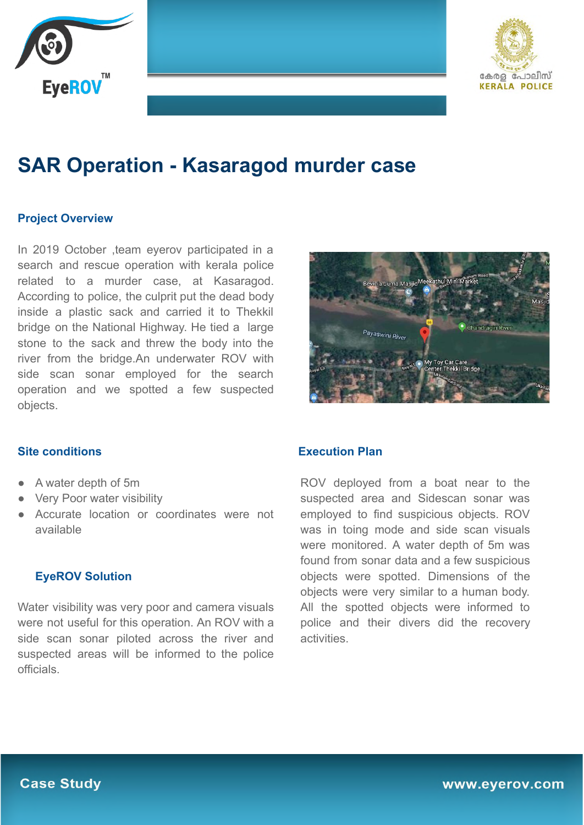



# **SAR Operation - Kasaragod murder case**

## **Project Overview**

In 2019 October ,team eyerov participated in a search and rescue operation with kerala police related to a murder case, at Kasaragod. According to police, the culprit put the dead body inside a plastic sack and carried it to Thekkil bridge on the National Highway. He tied a large stone to the sack and threw the body into the river from the bridge.An underwater ROV with side scan sonar employed for the search operation and we spotted a few suspected objects.



### **Site conditions**

- A water depth of 5m
- **Very Poor water visibility**
- Accurate location or coordinates were not available

### **EyeROV Solution**

Water visibility was very poor and camera visuals were not useful for this operation. An ROV with a side scan sonar piloted across the river and suspected areas will be informed to the police officials.

#### **Execution Plan**

ROV deployed from a boat near to the suspected area and Sidescan sonar was employed to find suspicious objects. ROV was in toing mode and side scan visuals were monitored. A water depth of 5m was found from sonar data and a few suspicious objects were spotted. Dimensions of the objects were very similar to a human body. All the spotted objects were informed to police and their divers did the recovery activities.